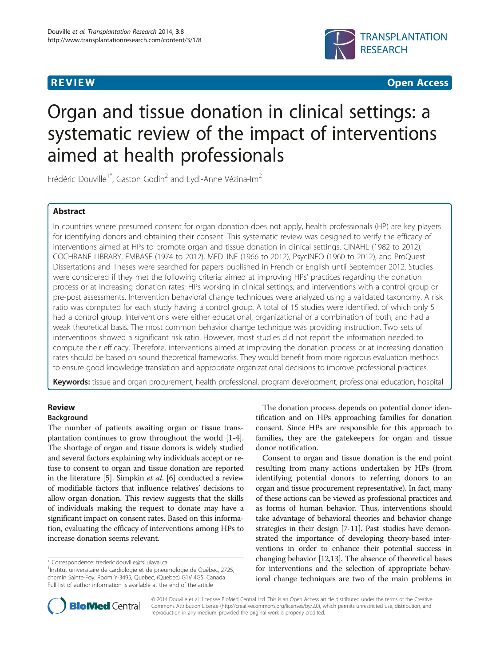

**REVIEW CONSTRUCTION CONSTRUCTION CONSTRUCTS** 

# Organ and tissue donation in clinical settings: a systematic review of the impact of interventions aimed at health professionals

Frédéric Douville<sup>1\*</sup>, Gaston Godin<sup>2</sup> and Lydi-Anne Vézina-Im<sup>2</sup>

# Abstract

In countries where presumed consent for organ donation does not apply, health professionals (HP) are key players for identifying donors and obtaining their consent. This systematic review was designed to verify the efficacy of interventions aimed at HPs to promote organ and tissue donation in clinical settings. CINAHL (1982 to 2012), COCHRANE LIBRARY, EMBASE (1974 to 2012), MEDLINE (1966 to 2012), PsycINFO (1960 to 2012), and ProQuest Dissertations and Theses were searched for papers published in French or English until September 2012. Studies were considered if they met the following criteria: aimed at improving HPs' practices regarding the donation process or at increasing donation rates; HPs working in clinical settings; and interventions with a control group or pre-post assessments. Intervention behavioral change techniques were analyzed using a validated taxonomy. A risk ratio was computed for each study having a control group. A total of 15 studies were identified, of which only 5 had a control group. Interventions were either educational, organizational or a combination of both, and had a weak theoretical basis. The most common behavior change technique was providing instruction. Two sets of interventions showed a significant risk ratio. However, most studies did not report the information needed to compute their efficacy. Therefore, interventions aimed at improving the donation process or at increasing donation rates should be based on sound theoretical frameworks. They would benefit from more rigorous evaluation methods to ensure good knowledge translation and appropriate organizational decisions to improve professional practices.

Keywords: tissue and organ procurement, health professional, program development, professional education, hospital

# Review

#### **Background**

The number of patients awaiting organ or tissue transplantation continues to grow throughout the world [\[1](#page-11-0)-[4](#page-11-0)]. The shortage of organ and tissue donors is widely studied and several factors explaining why individuals accept or refuse to consent to organ and tissue donation are reported in the literature [[5\]](#page-11-0). Simpkin et al. [\[6](#page-11-0)] conducted a review of modifiable factors that influence relatives' decisions to allow organ donation. This review suggests that the skills of individuals making the request to donate may have a significant impact on consent rates. Based on this information, evaluating the efficacy of interventions among HPs to increase donation seems relevant.

The donation process depends on potential donor identification and on HPs approaching families for donation consent. Since HPs are responsible for this approach to families, they are the gatekeepers for organ and tissue donor notification.

Consent to organ and tissue donation is the end point resulting from many actions undertaken by HPs (from identifying potential donors to referring donors to an organ and tissue procurement representative). In fact, many of these actions can be viewed as professional practices and as forms of human behavior. Thus, interventions should take advantage of behavioral theories and behavior change strategies in their design [\[7-11\]](#page-11-0). Past studies have demonstrated the importance of developing theory-based interventions in order to enhance their potential success in changing behavior [\[12,13](#page-11-0)]. The absence of theoretical bases for interventions and the selection of appropriate behavioral change techniques are two of the main problems in



© 2014 Douville et al.; licensee BioMed Central Ltd. This is an Open Access article distributed under the terms of the Creative Commons Attribution License [\(http://creativecommons.org/licenses/by/2.0\)](http://creativecommons.org/licenses/by/2.0), which permits unrestricted use, distribution, and reproduction in any medium, provided the original work is properly credited.

<sup>\*</sup> Correspondence: [frederic.douville@fsi.ulaval.ca](mailto:frederic.douville@fsi.ulaval.ca) <sup>1</sup>

 $<sup>1</sup>$ Institut universitaire de cardiologie et de pneumologie de Québec, 2725,</sup> chemin Sainte-Foy, Room Y-3495, Quebec, (Quebec) G1V 4G5, Canada Full list of author information is available at the end of the article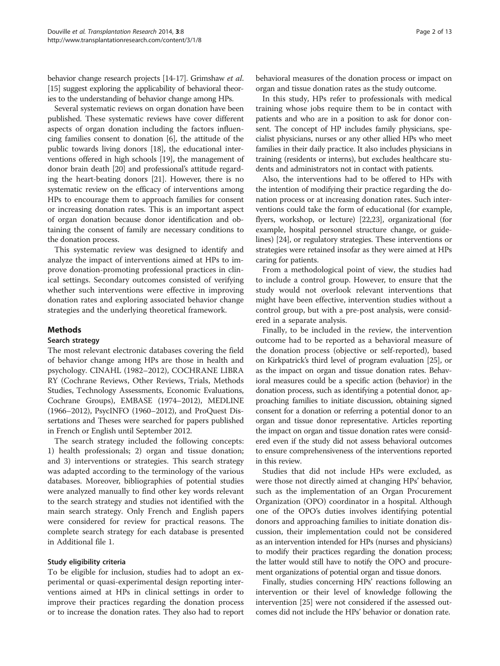behavior change research projects [[14-17\]](#page-11-0). Grimshaw et al. [[15](#page-11-0)] suggest exploring the applicability of behavioral theories to the understanding of behavior change among HPs.

Several systematic reviews on organ donation have been published. These systematic reviews have cover different aspects of organ donation including the factors influencing families consent to donation [\[6](#page-11-0)], the attitude of the public towards living donors [\[18](#page-12-0)], the educational interventions offered in high schools [\[19\]](#page-12-0), the management of donor brain death [[20](#page-12-0)] and professional's attitude regarding the heart-beating donors [\[21](#page-12-0)]. However, there is no systematic review on the efficacy of interventions among HPs to encourage them to approach families for consent or increasing donation rates. This is an important aspect of organ donation because donor identification and obtaining the consent of family are necessary conditions to the donation process.

This systematic review was designed to identify and analyze the impact of interventions aimed at HPs to improve donation-promoting professional practices in clinical settings. Secondary outcomes consisted of verifying whether such interventions were effective in improving donation rates and exploring associated behavior change strategies and the underlying theoretical framework.

#### Methods

#### Search strategy

The most relevant electronic databases covering the field of behavior change among HPs are those in health and psychology. CINAHL (1982–2012), COCHRANE LIBRA RY (Cochrane Reviews, Other Reviews, Trials, Methods Studies, Technology Assessments, Economic Evaluations, Cochrane Groups), EMBASE (1974–2012), MEDLINE (1966–2012), PsycINFO (1960–2012), and ProQuest Dissertations and Theses were searched for papers published in French or English until September 2012.

The search strategy included the following concepts: 1) health professionals; 2) organ and tissue donation; and 3) interventions or strategies. This search strategy was adapted according to the terminology of the various databases. Moreover, bibliographies of potential studies were analyzed manually to find other key words relevant to the search strategy and studies not identified with the main search strategy. Only French and English papers were considered for review for practical reasons. The complete search strategy for each database is presented in Additional file [1.](#page-11-0)

#### Study eligibility criteria

To be eligible for inclusion, studies had to adopt an experimental or quasi-experimental design reporting interventions aimed at HPs in clinical settings in order to improve their practices regarding the donation process or to increase the donation rates. They also had to report

behavioral measures of the donation process or impact on organ and tissue donation rates as the study outcome.

In this study, HPs refer to professionals with medical training whose jobs require them to be in contact with patients and who are in a position to ask for donor consent. The concept of HP includes family physicians, specialist physicians, nurses or any other allied HPs who meet families in their daily practice. It also includes physicians in training (residents or interns), but excludes healthcare students and administrators not in contact with patients.

Also, the interventions had to be offered to HPs with the intention of modifying their practice regarding the donation process or at increasing donation rates. Such interventions could take the form of educational (for example, flyers, workshop, or lecture) [\[22,23\]](#page-12-0), organizational (for example, hospital personnel structure change, or guidelines) [\[24\]](#page-12-0), or regulatory strategies. These interventions or strategies were retained insofar as they were aimed at HPs caring for patients.

From a methodological point of view, the studies had to include a control group. However, to ensure that the study would not overlook relevant interventions that might have been effective, intervention studies without a control group, but with a pre-post analysis, were considered in a separate analysis.

Finally, to be included in the review, the intervention outcome had to be reported as a behavioral measure of the donation process (objective or self-reported), based on Kirkpatrick's third level of program evaluation [[25](#page-12-0)], or as the impact on organ and tissue donation rates. Behavioral measures could be a specific action (behavior) in the donation process, such as identifying a potential donor, approaching families to initiate discussion, obtaining signed consent for a donation or referring a potential donor to an organ and tissue donor representative. Articles reporting the impact on organ and tissue donation rates were considered even if the study did not assess behavioral outcomes to ensure comprehensiveness of the interventions reported in this review.

Studies that did not include HPs were excluded, as were those not directly aimed at changing HPs' behavior, such as the implementation of an Organ Procurement Organization (OPO) coordinator in a hospital. Although one of the OPO's duties involves identifying potential donors and approaching families to initiate donation discussion, their implementation could not be considered as an intervention intended for HPs (nurses and physicians) to modify their practices regarding the donation process; the latter would still have to notify the OPO and procurement organizations of potential organ and tissue donors.

Finally, studies concerning HPs' reactions following an intervention or their level of knowledge following the intervention [\[25\]](#page-12-0) were not considered if the assessed outcomes did not include the HPs' behavior or donation rate.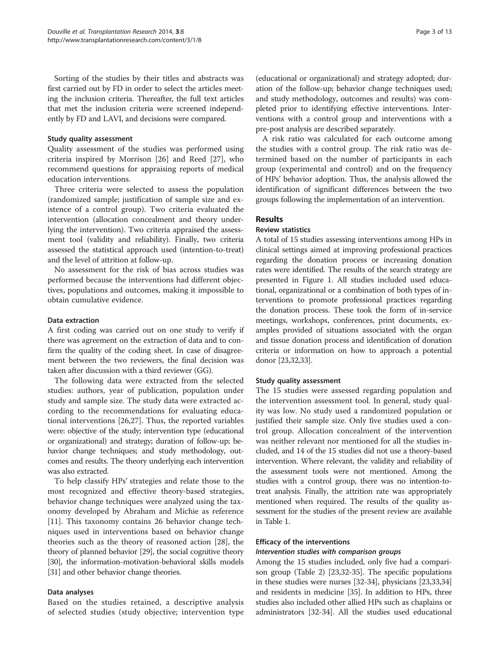Sorting of the studies by their titles and abstracts was first carried out by FD in order to select the articles meeting the inclusion criteria. Thereafter, the full text articles that met the inclusion criteria were screened independently by FD and LAVI, and decisions were compared.

#### Study quality assessment

Quality assessment of the studies was performed using criteria inspired by Morrison [\[26](#page-12-0)] and Reed [\[27](#page-12-0)], who recommend questions for appraising reports of medical education interventions.

Three criteria were selected to assess the population (randomized sample; justification of sample size and existence of a control group). Two criteria evaluated the intervention (allocation concealment and theory underlying the intervention). Two criteria appraised the assessment tool (validity and reliability). Finally, two criteria assessed the statistical approach used (intention-to-treat) and the level of attrition at follow-up.

No assessment for the risk of bias across studies was performed because the interventions had different objectives, populations and outcomes, making it impossible to obtain cumulative evidence.

#### Data extraction

A first coding was carried out on one study to verify if there was agreement on the extraction of data and to confirm the quality of the coding sheet. In case of disagreement between the two reviewers, the final decision was taken after discussion with a third reviewer (GG).

The following data were extracted from the selected studies: authors, year of publication, population under study and sample size. The study data were extracted according to the recommendations for evaluating educational interventions [[26](#page-12-0),[27](#page-12-0)]. Thus, the reported variables were: objective of the study; intervention type (educational or organizational) and strategy; duration of follow-up; behavior change techniques; and study methodology, outcomes and results. The theory underlying each intervention was also extracted.

To help classify HPs' strategies and relate those to the most recognized and effective theory-based strategies, behavior change techniques were analyzed using the taxonomy developed by Abraham and Michie as reference [[11\]](#page-11-0). This taxonomy contains 26 behavior change techniques used in interventions based on behavior change theories such as the theory of reasoned action [[28](#page-12-0)], the theory of planned behavior [\[29\]](#page-12-0), the social cognitive theory [[30](#page-12-0)], the information-motivation-behavioral skills models [[31](#page-12-0)] and other behavior change theories.

#### Data analyses

Based on the studies retained, a descriptive analysis of selected studies (study objective; intervention type

(educational or organizational) and strategy adopted; duration of the follow-up; behavior change techniques used; and study methodology, outcomes and results) was completed prior to identifying effective interventions. Interventions with a control group and interventions with a pre-post analysis are described separately.

A risk ratio was calculated for each outcome among the studies with a control group. The risk ratio was determined based on the number of participants in each group (experimental and control) and on the frequency of HPs' behavior adoption. Thus, the analysis allowed the identification of significant differences between the two groups following the implementation of an intervention.

#### Results

#### Review statistics

A total of 15 studies assessing interventions among HPs in clinical settings aimed at improving professional practices regarding the donation process or increasing donation rates were identified. The results of the search strategy are presented in Figure [1](#page-3-0). All studies included used educational, organizational or a combination of both types of interventions to promote professional practices regarding the donation process. These took the form of in-service meetings, workshops, conferences, print documents, examples provided of situations associated with the organ and tissue donation process and identification of donation criteria or information on how to approach a potential donor [\[23,32,33](#page-12-0)].

#### Study quality assessment

The 15 studies were assessed regarding population and the intervention assessment tool. In general, study quality was low. No study used a randomized population or justified their sample size. Only five studies used a control group. Allocation concealment of the intervention was neither relevant nor mentioned for all the studies included, and 14 of the 15 studies did not use a theory-based intervention. Where relevant, the validity and reliability of the assessment tools were not mentioned. Among the studies with a control group, there was no intention-totreat analysis. Finally, the attrition rate was appropriately mentioned when required. The results of the quality assessment for the studies of the present review are available in Table [1.](#page-4-0)

#### Efficacy of the interventions

#### Intervention studies with comparison groups

Among the 15 studies included, only five had a comparison group (Table [2](#page-5-0)) [\[23,32-35\]](#page-12-0). The specific populations in these studies were nurses [\[32-34\]](#page-12-0), physicians [\[23,33,34](#page-12-0)] and residents in medicine [[35\]](#page-12-0). In addition to HPs, three studies also included other allied HPs such as chaplains or administrators [\[32](#page-12-0)-[34](#page-12-0)]. All the studies used educational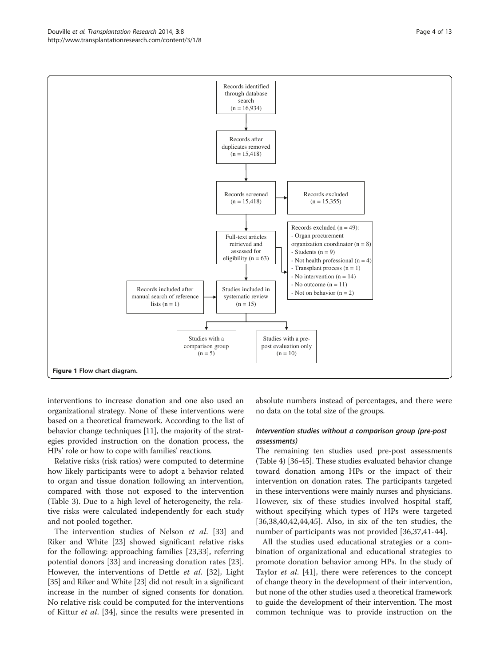interventions to increase donation and one also used an organizational strategy. None of these interventions were based on a theoretical framework. According to the list of behavior change techniques [\[11\]](#page-11-0), the majority of the strategies provided instruction on the donation process, the HPs' role or how to cope with families' reactions.

Relative risks (risk ratios) were computed to determine how likely participants were to adopt a behavior related to organ and tissue donation following an intervention, compared with those not exposed to the intervention (Table [3](#page-7-0)). Due to a high level of heterogeneity, the relative risks were calculated independently for each study and not pooled together.

The intervention studies of Nelson et al. [[33\]](#page-12-0) and Riker and White [[23\]](#page-12-0) showed significant relative risks for the following: approaching families [\[23,33](#page-12-0)], referring potential donors [[33](#page-12-0)] and increasing donation rates [\[23](#page-12-0)]. However, the interventions of Dettle et al. [\[32](#page-12-0)], Light [[35](#page-12-0)] and Riker and White [[23](#page-12-0)] did not result in a significant increase in the number of signed consents for donation. No relative risk could be computed for the interventions of Kittur et al. [[34\]](#page-12-0), since the results were presented in absolute numbers instead of percentages, and there were no data on the total size of the groups.

# Intervention studies without a comparison group (pre-post assessments)

The remaining ten studies used pre-post assessments (Table [4](#page-8-0)) [[36-45\]](#page-12-0). These studies evaluated behavior change toward donation among HPs or the impact of their intervention on donation rates. The participants targeted in these interventions were mainly nurses and physicians. However, six of these studies involved hospital staff, without specifying which types of HPs were targeted [[36,38,40](#page-12-0),[42,44,45](#page-12-0)]. Also, in six of the ten studies, the number of participants was not provided [[36,37,41](#page-12-0)-[44\]](#page-12-0).

All the studies used educational strategies or a combination of organizational and educational strategies to promote donation behavior among HPs. In the study of Taylor *et al.* [[41](#page-12-0)], there were references to the concept of change theory in the development of their intervention, but none of the other studies used a theoretical framework to guide the development of their intervention. The most common technique was to provide instruction on the

<span id="page-3-0"></span>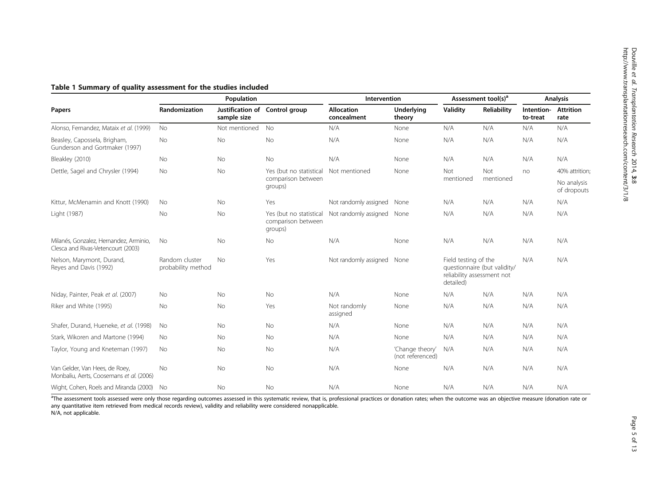# <span id="page-4-0"></span>Table 1 Summary of quality assessment for the studies included

|                                                                              |                                      | Population    |                                                          | Intervention                     |                                     |                                                                 | Assessment tool(s) <sup>a</sup> | <b>Analysis</b>        |                            |  |
|------------------------------------------------------------------------------|--------------------------------------|---------------|----------------------------------------------------------|----------------------------------|-------------------------------------|-----------------------------------------------------------------|---------------------------------|------------------------|----------------------------|--|
| Papers                                                                       | Randomization                        | sample size   | Justification of Control group                           | <b>Allocation</b><br>concealment | Underlying<br>theory                | Validity                                                        | <b>Reliability</b>              | Intention-<br>to-treat | <b>Attrition</b><br>rate   |  |
| Alonso, Fernandez, Mataix et al. (1999)                                      | <b>No</b>                            | Not mentioned | <b>No</b>                                                | N/A                              | None                                | N/A                                                             | N/A                             | N/A                    | N/A                        |  |
| Beasley, Capossela, Brigham,<br>Gunderson and Gortmaker (1997)               | <b>No</b>                            | <b>No</b>     | <b>No</b>                                                | N/A                              | None                                | N/A                                                             | N/A                             | N/A                    | N/A                        |  |
| Bleakley (2010)                                                              | No                                   | No            | <b>No</b>                                                | N/A                              | None                                | N/A                                                             | N/A                             | N/A                    | N/A                        |  |
| Dettle, Sagel and Chrysler (1994)                                            | <b>No</b>                            | No            | Yes (but no statistical                                  | Not mentioned                    | None                                | Not                                                             | Not                             | no                     | 40% attrition;             |  |
|                                                                              |                                      |               | comparison between<br>groups)                            |                                  |                                     | mentioned                                                       | mentioned                       |                        | No analysis<br>of dropouts |  |
| Kittur, McMenamin and Knott (1990)                                           | <b>No</b>                            | <b>No</b>     | Yes                                                      | Not randomly assigned            | None                                | N/A                                                             | N/A                             | N/A                    | N/A                        |  |
| Light (1987)                                                                 | <b>No</b>                            | No            | Yes (but no statistical<br>comparison between<br>groups) | Not randomly assigned            | None                                | N/A                                                             | N/A                             | N/A                    | N/A                        |  |
| Milanés, Gonzalez, Hernandez, Arminio,<br>Clesca and Rivas-Vetencourt (2003) | No                                   | No            | <b>No</b>                                                | N/A                              | None                                | N/A                                                             | N/A                             | N/A                    | N/A                        |  |
| Nelson, Marymont, Durand,<br>Reyes and Davis (1992)                          | Random cluster<br>probability method | <b>No</b>     | Yes                                                      | Not randomly assigned            | None                                | Field testing of the<br>reliability assessment not<br>detailed) | questionnaire (but validity/    | N/A                    | N/A                        |  |
| Niday, Painter, Peak et al. (2007)                                           | <b>No</b>                            | No            | <b>No</b>                                                | N/A                              | None                                | N/A                                                             | N/A                             | N/A                    | N/A                        |  |
| Riker and White (1995)                                                       | <b>No</b>                            | No            | Yes                                                      | Not randomly<br>assigned         | None                                | N/A                                                             | N/A                             | N/A                    | N/A                        |  |
| Shafer, Durand, Hueneke, et al. (1998)                                       | <b>No</b>                            | <b>No</b>     | <b>No</b>                                                | N/A                              | None                                | N/A                                                             | N/A                             | N/A                    | N/A                        |  |
| Stark, Wikoren and Martone (1994)                                            | <b>No</b>                            | No            | <b>No</b>                                                | N/A                              | None                                | N/A                                                             | N/A                             | N/A                    | N/A                        |  |
| Taylor, Young and Kneteman (1997)                                            | <b>No</b>                            | <b>No</b>     | <b>No</b>                                                | N/A                              | 'Change theory'<br>(not referenced) | N/A                                                             | N/A                             | N/A                    | N/A                        |  |
| Van Gelder, Van Hees, de Roey,<br>Monbaliu, Aerts, Coosemans et al. (2006)   | No                                   | <b>No</b>     | <b>No</b>                                                | N/A                              | None                                | N/A                                                             | N/A                             | N/A                    | N/A                        |  |
| Wight, Cohen, Roels and Miranda (2000)                                       | <b>No</b>                            | No            | <b>No</b>                                                | N/A                              | None                                | N/A                                                             | N/A                             | N/A                    | N/A                        |  |

<sup>a</sup>The assessment tools assessed were only those regarding outcomes assessed in this systematic review, that is, professional practices or donation rates; when the outcome was an objective measure (donation rate or any quantitative item retrieved from medical records review), validity and reliability were considered nonapplicable. N/A, not applicable.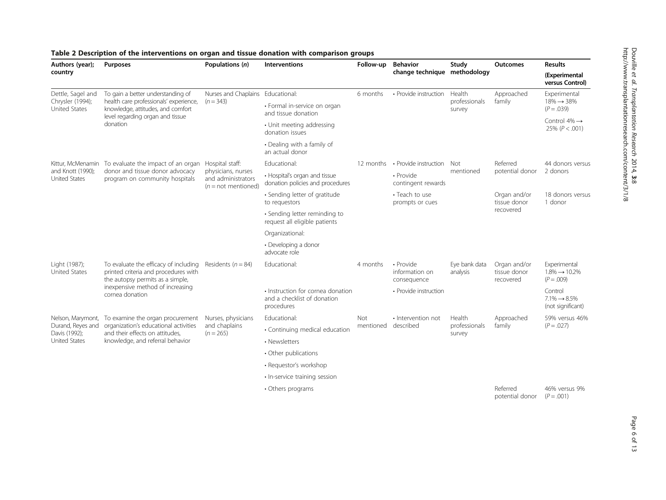| Authors (year);                                        | <b>Purposes</b>                                                                                                                                                          | Populations (n)                                                   | <b>Interventions</b>                                                           | Follow-up | <b>Behavior</b><br>change technique methodology | Study                             | Outcomes                                  | <b>Results</b>                                            |
|--------------------------------------------------------|--------------------------------------------------------------------------------------------------------------------------------------------------------------------------|-------------------------------------------------------------------|--------------------------------------------------------------------------------|-----------|-------------------------------------------------|-----------------------------------|-------------------------------------------|-----------------------------------------------------------|
| country                                                |                                                                                                                                                                          |                                                                   |                                                                                |           |                                                 |                                   |                                           | (Experimental<br>versus Control)                          |
| Dettle, Sagel and<br>Chrysler (1994);<br>United States | To gain a better understanding of<br>health care professionals' experience,<br>knowledge, attitudes, and comfort<br>level regarding organ and tissue                     | Nurses and Chaplains Educational:                                 |                                                                                | 6 months  | • Provide instruction                           | Health<br>professionals<br>survey | Approached<br>family                      | Experimental                                              |
|                                                        |                                                                                                                                                                          | $(n = 343)$                                                       | · Formal in-service on organ<br>and tissue donation                            |           |                                                 |                                   |                                           | $18\% \rightarrow 38\%$<br>$(P=.039)$                     |
|                                                        | donation                                                                                                                                                                 |                                                                   | • Unit meeting addressing<br>donation issues                                   |           |                                                 |                                   |                                           | Control $4\% \rightarrow$<br>25% ( $P < .001$ )           |
|                                                        |                                                                                                                                                                          |                                                                   | • Dealing with a family of<br>an actual donor                                  |           |                                                 |                                   |                                           |                                                           |
|                                                        | Kittur, McMenamin To evaluate the impact of an organ                                                                                                                     | Hospital staff:                                                   | Educational:                                                                   | 12 months | • Provide instruction                           | Not                               | Referred<br>potential donor               | 44 donors versus                                          |
| and Knott (1990);<br>United States                     | donor and tissue donor advocacy<br>program on community hospitals                                                                                                        | physicians, nurses<br>and administrators<br>$(n = not mentioned)$ | • Hospital's organ and tissue<br>donation policies and procedures              |           | • Provide<br>contingent rewards                 | mentioned                         |                                           | 2 donors                                                  |
|                                                        |                                                                                                                                                                          |                                                                   | • Sending letter of gratitude<br>to requestors                                 |           | • Teach to use<br>prompts or cues               |                                   | Organ and/or<br>tissue donor<br>recovered | 18 donors versus<br>1 donor                               |
|                                                        |                                                                                                                                                                          |                                                                   | • Sending letter reminding to<br>request all eligible patients                 |           |                                                 |                                   |                                           |                                                           |
|                                                        |                                                                                                                                                                          |                                                                   | Organizational:                                                                |           |                                                 |                                   |                                           |                                                           |
|                                                        |                                                                                                                                                                          |                                                                   | • Developing a donor<br>advocate role                                          |           |                                                 |                                   |                                           |                                                           |
| Light (1987);<br>United States                         | To evaluate the efficacy of including<br>printed criteria and procedures with<br>the autopsy permits as a simple,<br>inexpensive method of increasing<br>cornea donation | Residents ( $n = 84$ )                                            | Educational:                                                                   | 4 months  | • Provide<br>information on<br>consequence      | Eye bank data<br>analysis         | Organ and/or<br>tissue donor<br>recovered | Experimental<br>$1.8\% \rightarrow 10.2\%$<br>$(P=.009)$  |
|                                                        |                                                                                                                                                                          |                                                                   | · Instruction for cornea donation<br>and a checklist of donation<br>procedures |           | • Provide instruction                           |                                   |                                           | Control<br>$7.1\% \rightarrow 8.5\%$<br>(not significant) |
| Nelson, Marymont,                                      | To examine the organ procurement                                                                                                                                         | Nurses, physicians                                                | Educational:                                                                   | Not       | · Intervention not                              | Health                            | Approached                                | 59% versus 46%                                            |
| Durand, Reyes and<br>Davis (1992);                     | organization's educational activities<br>and their effects on attitudes,                                                                                                 | and chaplains<br>$(n = 265)$                                      | • Continuing medical education                                                 | mentioned | described                                       | professionals<br>survey           | family                                    | $(P = .027)$                                              |
| United States                                          | knowledge, and referral behavior                                                                                                                                         |                                                                   | • Newsletters                                                                  |           |                                                 |                                   |                                           |                                                           |
|                                                        |                                                                                                                                                                          |                                                                   | • Other publications                                                           |           |                                                 |                                   |                                           |                                                           |
|                                                        |                                                                                                                                                                          |                                                                   | • Requestor's workshop                                                         |           |                                                 |                                   |                                           |                                                           |
|                                                        |                                                                                                                                                                          |                                                                   | • In-service training session                                                  |           |                                                 |                                   |                                           |                                                           |
|                                                        |                                                                                                                                                                          |                                                                   | • Others programs                                                              |           |                                                 |                                   | Referred<br>potential donor               | 46% versus 9%<br>$(P = .001)$                             |

# <span id="page-5-0"></span>Table 2 Description of the interventions on organ and tissue donation with comparison groups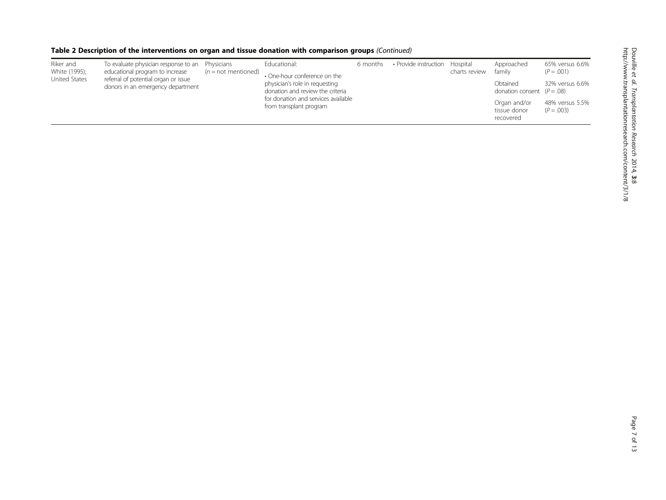| Riker and<br>White (1995);<br>United States | To evaluate physician response to an Physicians<br>educational program to increase<br>referral of potential organ or issue<br>donors in an emergency department | $(n = not mentioned)$ | Educational:<br>• One-hour conference on the<br>physician's role in requesting<br>donation and review the criteria<br>for donation and services available<br>from transplant program | 6 months | • Provide instruction Hospital | charts review | Approached<br>family                      | 65% versus 6.6%<br>$(P=.001)$   |
|---------------------------------------------|-----------------------------------------------------------------------------------------------------------------------------------------------------------------|-----------------------|--------------------------------------------------------------------------------------------------------------------------------------------------------------------------------------|----------|--------------------------------|---------------|-------------------------------------------|---------------------------------|
|                                             |                                                                                                                                                                 |                       |                                                                                                                                                                                      |          |                                |               | Obtained<br>donation consent $(P=.08)$    | 32% versus 6.6%                 |
|                                             |                                                                                                                                                                 |                       |                                                                                                                                                                                      |          |                                |               | Organ and/or<br>tissue donor<br>recovered | 48% versus 5.5%<br>$(P = .003)$ |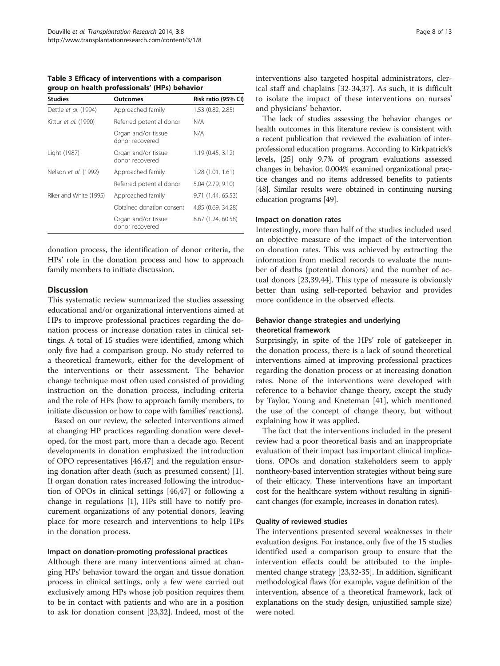<span id="page-7-0"></span>Table 3 Efficacy of interventions with a comparison group on health professionals' (HPs) behavior

| <b>Studies</b>         | Outcomes                               | Risk ratio (95% CI) |
|------------------------|----------------------------------------|---------------------|
| Dettle et al. (1994)   | Approached family                      | 1.53 (0.82, 2.85)   |
| Kittur et al. (1990)   | Referred potential donor               | N/A                 |
|                        | Organ and/or tissue<br>donor recovered | N/A                 |
| Light (1987)           | Organ and/or tissue<br>donor recovered | 1.19(0.45, 3.12)    |
| Nelson et al. (1992)   | Approached family                      | 1.28(1.01, 1.61)    |
|                        | Referred potential donor               | 5.04 (2.79, 9.10)   |
| Riker and White (1995) | Approached family                      | 9.71 (1.44, 65.53)  |
|                        | Obtained donation consent              | 4.85 (0.69, 34.28)  |
|                        | Organ and/or tissue<br>donor recovered | 8.67 (1.24, 60.58)  |

donation process, the identification of donor criteria, the HPs' role in the donation process and how to approach family members to initiate discussion.

#### **Discussion**

This systematic review summarized the studies assessing educational and/or organizational interventions aimed at HPs to improve professional practices regarding the donation process or increase donation rates in clinical settings. A total of 15 studies were identified, among which only five had a comparison group. No study referred to a theoretical framework, either for the development of the interventions or their assessment. The behavior change technique most often used consisted of providing instruction on the donation process, including criteria and the role of HPs (how to approach family members, to initiate discussion or how to cope with families' reactions).

Based on our review, the selected interventions aimed at changing HP practices regarding donation were developed, for the most part, more than a decade ago. Recent developments in donation emphasized the introduction of OPO representatives [[46,47](#page-12-0)] and the regulation ensuring donation after death (such as presumed consent) [\[1](#page-11-0)]. If organ donation rates increased following the introduction of OPOs in clinical settings [[46,47\]](#page-12-0) or following a change in regulations [[1\]](#page-11-0), HPs still have to notify procurement organizations of any potential donors, leaving place for more research and interventions to help HPs in the donation process.

#### Impact on donation-promoting professional practices

Although there are many interventions aimed at changing HPs' behavior toward the organ and tissue donation process in clinical settings, only a few were carried out exclusively among HPs whose job position requires them to be in contact with patients and who are in a position to ask for donation consent [\[23,32](#page-12-0)]. Indeed, most of the interventions also targeted hospital administrators, clerical staff and chaplains [[32-34,37\]](#page-12-0). As such, it is difficult to isolate the impact of these interventions on nurses' and physicians' behavior.

The lack of studies assessing the behavior changes or health outcomes in this literature review is consistent with a recent publication that reviewed the evaluation of interprofessional education programs. According to Kirkpatrick's levels, [\[25\]](#page-12-0) only 9.7% of program evaluations assessed changes in behavior, 0.004% examined organizational practice changes and no items addressed benefits to patients [[48](#page-12-0)]. Similar results were obtained in continuing nursing education programs [\[49\]](#page-12-0).

#### Impact on donation rates

Interestingly, more than half of the studies included used an objective measure of the impact of the intervention on donation rates. This was achieved by extracting the information from medical records to evaluate the number of deaths (potential donors) and the number of actual donors [\[23,39,44\]](#page-12-0). This type of measure is obviously better than using self-reported behavior and provides more confidence in the observed effects.

# Behavior change strategies and underlying theoretical framework

Surprisingly, in spite of the HPs' role of gatekeeper in the donation process, there is a lack of sound theoretical interventions aimed at improving professional practices regarding the donation process or at increasing donation rates. None of the interventions were developed with reference to a behavior change theory, except the study by Taylor, Young and Kneteman [\[41](#page-12-0)], which mentioned the use of the concept of change theory, but without explaining how it was applied.

The fact that the interventions included in the present review had a poor theoretical basis and an inappropriate evaluation of their impact has important clinical implications. OPOs and donation stakeholders seem to apply nontheory-based intervention strategies without being sure of their efficacy. These interventions have an important cost for the healthcare system without resulting in significant changes (for example, increases in donation rates).

# Quality of reviewed studies

The interventions presented several weaknesses in their evaluation designs. For instance, only five of the 15 studies identified used a comparison group to ensure that the intervention effects could be attributed to the implemented change strategy [[23,32](#page-12-0)-[35](#page-12-0)]. In addition, significant methodological flaws (for example, vague definition of the intervention, absence of a theoretical framework, lack of explanations on the study design, unjustified sample size) were noted.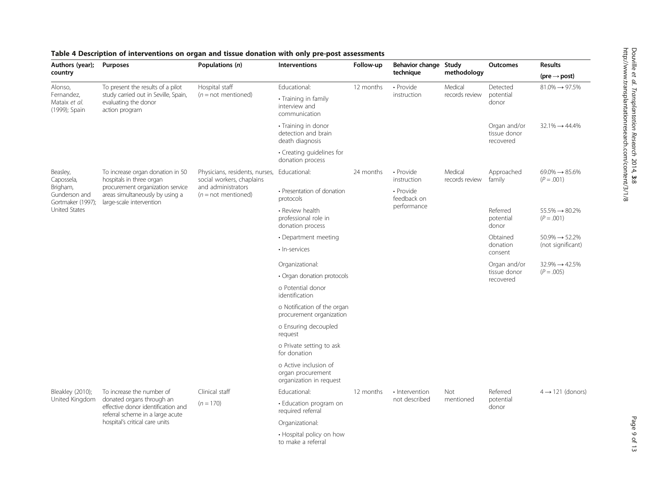| Authors (year);                                | <b>Purposes</b>                                                                                                     | Populations (n)                                                                                                                                | <b>Interventions</b>                                                  | Follow-up | Behavior change Study                   | methodology               | <b>Outcomes</b>                           | <b>Results</b>                            |
|------------------------------------------------|---------------------------------------------------------------------------------------------------------------------|------------------------------------------------------------------------------------------------------------------------------------------------|-----------------------------------------------------------------------|-----------|-----------------------------------------|---------------------------|-------------------------------------------|-------------------------------------------|
| country                                        |                                                                                                                     |                                                                                                                                                |                                                                       |           | technique                               |                           |                                           | $(\text{pre} \rightarrow \text{post})$    |
| Alonso,                                        | To present the results of a pilot<br>study carried out in Seville, Spain,<br>evaluating the donor<br>action program | Hospital staff                                                                                                                                 | Educational:                                                          | 12 months | • Provide<br>instruction                | Medical<br>records review | Detected<br>potential<br>donor            | $81.0\% \rightarrow 97.5\%$               |
| Fernandez,<br>Mataix et al.<br>(1999); Spain   |                                                                                                                     | $(n = not mentioned)$                                                                                                                          | • Training in family<br>interview and<br>communication                |           |                                         |                           |                                           |                                           |
|                                                |                                                                                                                     |                                                                                                                                                | • Training in donor<br>detection and brain<br>death diagnosis         |           |                                         |                           | Organ and/or<br>tissue donor<br>recovered | $32.1\% \rightarrow 44.4\%$               |
|                                                |                                                                                                                     |                                                                                                                                                | • Creating guidelines for<br>donation process                         |           |                                         |                           |                                           |                                           |
| Beasley,<br>Capossela,                         | To increase organ donation in 50<br>hospitals in three organ                                                        | Physicians, residents, nurses,<br>social workers, chaplains<br>procurement organization service<br>and administrators<br>$(n = not mentioned)$ | Educational:                                                          | 24 months | • Provide<br>instruction                | Medical<br>records review | Approached<br>family                      | $69.0\% \rightarrow 85.6\%$<br>$(P=.001)$ |
| Brigham,<br>Gunderson and<br>Gortmaker (1997); | areas simultaneously by using a<br>large-scale intervention                                                         |                                                                                                                                                | • Presentation of donation<br>protocols                               |           | • Provide<br>feedback on<br>performance |                           |                                           |                                           |
| <b>United States</b>                           |                                                                                                                     |                                                                                                                                                | • Review health<br>professional role in<br>donation process           |           |                                         |                           | Referred<br>potential<br>donor            | $55.5\% \rightarrow 80.2\%$<br>$(P=.001)$ |
|                                                |                                                                                                                     |                                                                                                                                                | • Department meeting                                                  |           |                                         |                           | Obtained<br>donation<br>consent           | $50.9\% \rightarrow 52.2\%$               |
|                                                |                                                                                                                     |                                                                                                                                                | · In-services                                                         |           |                                         |                           |                                           | (not significant)                         |
|                                                |                                                                                                                     |                                                                                                                                                | Organizational:                                                       |           |                                         |                           | Organ and/or<br>tissue donor<br>recovered | $32.9\% \rightarrow 42.5\%$               |
|                                                |                                                                                                                     |                                                                                                                                                | • Organ donation protocols                                            |           |                                         |                           |                                           | $(P=.005)$                                |
|                                                |                                                                                                                     |                                                                                                                                                | o Potential donor<br>identification                                   |           |                                         |                           |                                           |                                           |
|                                                |                                                                                                                     |                                                                                                                                                | o Notification of the organ<br>procurement organization               |           |                                         |                           |                                           |                                           |
|                                                |                                                                                                                     |                                                                                                                                                | o Ensuring decoupled<br>request                                       |           |                                         |                           |                                           |                                           |
|                                                |                                                                                                                     |                                                                                                                                                | o Private setting to ask<br>for donation                              |           |                                         |                           |                                           |                                           |
|                                                |                                                                                                                     |                                                                                                                                                | o Active inclusion of<br>organ procurement<br>organization in request |           |                                         |                           |                                           |                                           |
| Bleakley (2010);                               | To increase the number of                                                                                           | Clinical staff                                                                                                                                 | Educational:                                                          | 12 months | · Intervention                          | Not                       | Referred                                  | $4 \rightarrow 121$ (donors)              |
| United Kingdom                                 | effective donor identification and<br>referral scheme in a large acute                                              | donated organs through an<br>$(n = 170)$                                                                                                       | • Education program on<br>required referral                           |           | not described                           | mentioned                 | potential<br>donor                        |                                           |
|                                                | hospital's critical care units                                                                                      |                                                                                                                                                | Organizational:                                                       |           |                                         |                           |                                           |                                           |
|                                                |                                                                                                                     |                                                                                                                                                | • Hospital policy on how<br>to make a referral                        |           |                                         |                           |                                           |                                           |

# <span id="page-8-0"></span>Table 4 Description of interventions on organ and tissue donation with only pre-post assessments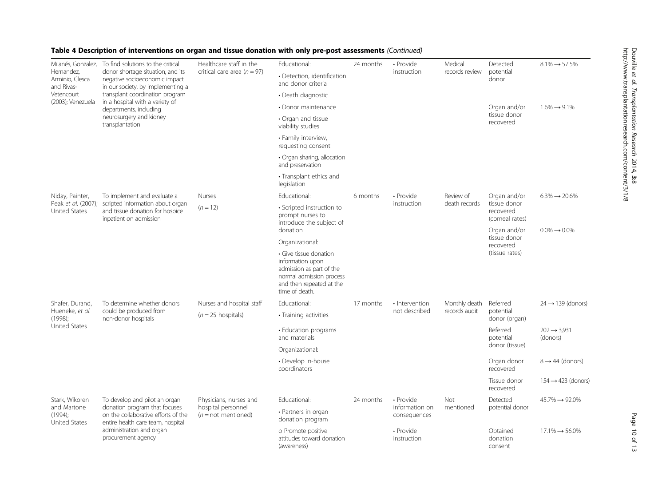| Milanés, Gonzalez,                          | To find solutions to the critical                                                                         | Healthcare staff in the                     | Educational:                                                                                                                                     | 24 months | • Provide                                   | Medical                        | Detected                                                     | $8.1\% \rightarrow 57.5\%$          |
|---------------------------------------------|-----------------------------------------------------------------------------------------------------------|---------------------------------------------|--------------------------------------------------------------------------------------------------------------------------------------------------|-----------|---------------------------------------------|--------------------------------|--------------------------------------------------------------|-------------------------------------|
| Hernandez,<br>Arminio, Clesca<br>and Rivas- | donor shortage situation, and its<br>negative socioeconomic impact<br>in our society, by implementing a   | critical care area ( $n = 97$ )             | · Detection, identification<br>and donor criteria                                                                                                |           | instruction                                 | records review                 | potential<br>donor                                           |                                     |
| Vetencourt<br>(2003); Venezuela             | transplant coordination program                                                                           |                                             | • Death diagnostic                                                                                                                               |           |                                             |                                |                                                              |                                     |
|                                             | in a hospital with a variety of<br>departments, including                                                 |                                             | • Donor maintenance                                                                                                                              |           |                                             |                                | Organ and/or<br>tissue donor<br>recovered                    | $1.6\% \rightarrow 9.1\%$           |
|                                             | neurosurgery and kidney<br>transplantation                                                                |                                             | • Organ and tissue<br>viability studies                                                                                                          |           |                                             |                                |                                                              |                                     |
|                                             |                                                                                                           |                                             | • Family interview,<br>requesting consent                                                                                                        |           |                                             |                                |                                                              |                                     |
|                                             |                                                                                                           |                                             | • Organ sharing, allocation<br>and preservation                                                                                                  |           |                                             |                                |                                                              |                                     |
|                                             |                                                                                                           |                                             | • Transplant ethics and<br>legislation                                                                                                           |           |                                             |                                |                                                              |                                     |
| Niday, Painter,                             | To implement and evaluate a                                                                               | Nurses                                      | <b>Educational:</b>                                                                                                                              | 6 months  | • Provide<br>instruction                    | Review of                      | Organ and/or<br>tissue donor<br>recovered<br>(corneal rates) | $6.3\% \rightarrow 20.6\%$          |
| Peak et al. (2007);<br><b>United States</b> | scripted information about organ<br>and tissue donation for hospice<br>inpatient on admission             | $(n = 12)$                                  | · Scripted instruction to<br>prompt nurses to<br>introduce the subject of                                                                        |           |                                             | death records                  |                                                              |                                     |
|                                             |                                                                                                           |                                             | donation                                                                                                                                         |           |                                             |                                | Organ and/or                                                 | $0.0\% \rightarrow 0.0\%$           |
|                                             |                                                                                                           |                                             | Organizational:                                                                                                                                  |           |                                             |                                | tissue donor<br>recovered<br>(tissue rates)                  |                                     |
|                                             |                                                                                                           |                                             | • Give tissue donation<br>information upon<br>admission as part of the<br>normal admission process<br>and then repeated at the<br>time of death. |           |                                             |                                |                                                              |                                     |
| Shafer, Durand,                             | To determine whether donors                                                                               | Nurses and hospital staff                   | Educational:                                                                                                                                     | 17 months | • Intervention<br>not described             | Monthly death<br>records audit | Referred                                                     | $24 \rightarrow 139$ (donors)       |
| Hueneke, et al.<br>(1998):<br>United States | could be produced from<br>non-donor hospitals                                                             | $(n = 25$ hospitals)                        | • Training activities                                                                                                                            |           |                                             |                                | potential<br>donor (organ)                                   |                                     |
|                                             |                                                                                                           |                                             | • Education programs<br>and materials                                                                                                            |           |                                             |                                | Referred<br>potential                                        | $202 \rightarrow 3,931$<br>(donors) |
|                                             |                                                                                                           |                                             | Organizational:                                                                                                                                  |           |                                             |                                | donor (tissue)                                               |                                     |
|                                             |                                                                                                           |                                             | • Develop in-house<br>coordinators                                                                                                               |           |                                             |                                | Organ donor<br>recovered                                     | $8 \rightarrow 44$ (donors)         |
|                                             |                                                                                                           |                                             |                                                                                                                                                  |           |                                             |                                | Tissue donor<br>recovered                                    | $154 \rightarrow 423$ (donors)      |
| Stark. Wikoren                              | To develop and pilot an organ                                                                             | Physicians, nurses and                      | Educational:                                                                                                                                     | 24 months | • Provide<br>information on<br>consequences | Not<br>mentioned               | Detected                                                     | $45.7\% \rightarrow 92.0\%$         |
| and Martone<br>(1994):<br>United States     | donation program that focuses<br>on the collaborative efforts of the<br>entire health care team, hospital | hospital personnel<br>$(n = not mentioned)$ | • Partners in organ<br>donation program                                                                                                          |           |                                             |                                | potential donor                                              |                                     |
|                                             | administration and organ<br>procurement agency                                                            |                                             | o Promote positive<br>attitudes toward donation<br>(awareness)                                                                                   |           | • Provide<br>instruction                    |                                | Obtained<br>donation<br>consent                              | $17.1\% \rightarrow 56.0\%$         |

# Table 4 Description of interventions on organ and tissue donation with only pre-post assessments (Continued)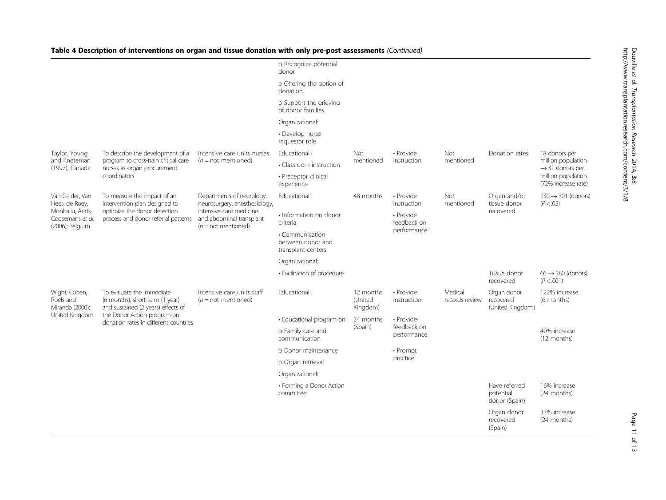# Table 4 Description of interventions on organ and tissue donation with only pre-post assessments (Continued)

|                                                         |                                                                                                    |                                                                              | o Recognize potential<br>donor                             |                                  |                                         |                           |                                               |                                                                    |
|---------------------------------------------------------|----------------------------------------------------------------------------------------------------|------------------------------------------------------------------------------|------------------------------------------------------------|----------------------------------|-----------------------------------------|---------------------------|-----------------------------------------------|--------------------------------------------------------------------|
|                                                         |                                                                                                    |                                                                              | o Offering the option of<br>donation                       |                                  |                                         |                           |                                               |                                                                    |
|                                                         |                                                                                                    |                                                                              | o Support the grieving<br>of donor families                |                                  |                                         |                           |                                               |                                                                    |
|                                                         |                                                                                                    |                                                                              | Organizational:                                            |                                  |                                         |                           |                                               |                                                                    |
|                                                         |                                                                                                    |                                                                              | • Develop nurse<br>requestor role                          |                                  |                                         |                           |                                               |                                                                    |
| Taylor, Young                                           | To describe the development of a                                                                   | Intensive care units nurses                                                  | Educational:                                               | <b>Not</b>                       | • Provide                               | <b>Not</b><br>mentioned   | Donation rates                                | 18 donors per<br>million population<br>$\rightarrow$ 31 donors per |
| and Kneteman<br>(1997); Canada                          | program to cross-train critical care<br>nurses as organ procurement                                | $(n = not mentioned)$                                                        | • Classroom instruction                                    | mentioned                        | instruction                             |                           |                                               |                                                                    |
|                                                         | coordinators                                                                                       |                                                                              | • Preceptor clinical<br>experience                         |                                  |                                         |                           |                                               | million population<br>(72% increase rate)                          |
| Van Gelder, Van<br>Hees, de Roey,                       | To measure the impact of an<br>intervention plan designed to                                       | Departments of neurology,<br>neurosurgery, anesthesiology,                   | Educational:                                               | 48 months                        | • Provide<br>instruction                | Not<br>mentioned          | Organ and/or<br>tissue donor                  | $230 \rightarrow 301$ (donors)<br>(P < .05)                        |
| Monbaliu, Aerts,<br>Coosemans et al.<br>(2006); Belgium | optimize the donor detection<br>process and donor referral patterns                                | intensive care medicine<br>and abdominal transplant<br>$(n = not mentioned)$ | • Information on donor<br>criteria                         |                                  | • Provide<br>feedback on                |                           | recovered                                     |                                                                    |
|                                                         |                                                                                                    |                                                                              | • Communication<br>between donor and<br>transplant centers |                                  | performance                             |                           |                                               |                                                                    |
|                                                         |                                                                                                    |                                                                              | Organizational:                                            |                                  |                                         |                           |                                               |                                                                    |
|                                                         |                                                                                                    |                                                                              | • Facilitation of procedure                                |                                  |                                         |                           | Tissue donor<br>recovered                     | $66 \rightarrow 180$ (donors)<br>(P < .001)                        |
| Wight, Cohen,<br>Roels and<br>Miranda (2000);           | To evaluate the immediate<br>(6 months), short-term (1 year)<br>and sustained (2 years) effects of | Intensive care units staff<br>$(n = not mentioned)$                          | Fducational:                                               | 12 months<br>(United<br>Kingdom) | • Provide<br>instruction                | Medical<br>records review | Organ donor<br>recovered<br>(United Kingdom.) | 122% increase<br>(6 months)                                        |
| United Kingdom                                          | the Donor Action program on<br>donation rates in different countries                               |                                                                              | • Educational program on:                                  | 24 months                        | • Provide<br>feedback on<br>performance |                           |                                               |                                                                    |
|                                                         |                                                                                                    |                                                                              | o Family care and<br>communication                         | (Spain)                          |                                         |                           |                                               | 40% increase<br>(12 months)                                        |
|                                                         |                                                                                                    |                                                                              | o Donor maintenance                                        |                                  | • Prompt                                |                           |                                               |                                                                    |
|                                                         |                                                                                                    |                                                                              | o Organ retrieval                                          |                                  | practice                                |                           |                                               |                                                                    |
|                                                         |                                                                                                    |                                                                              | Organizational:                                            |                                  |                                         |                           |                                               |                                                                    |
|                                                         |                                                                                                    |                                                                              | • Forming a Donor Action<br>committee                      |                                  |                                         |                           | Have referred<br>potential<br>donor (Spain)   | 16% increase<br>(24 months)                                        |
|                                                         |                                                                                                    |                                                                              |                                                            |                                  |                                         |                           | Organ donor<br>recovered<br>(Spain)           | 33% increase<br>(24 months)                                        |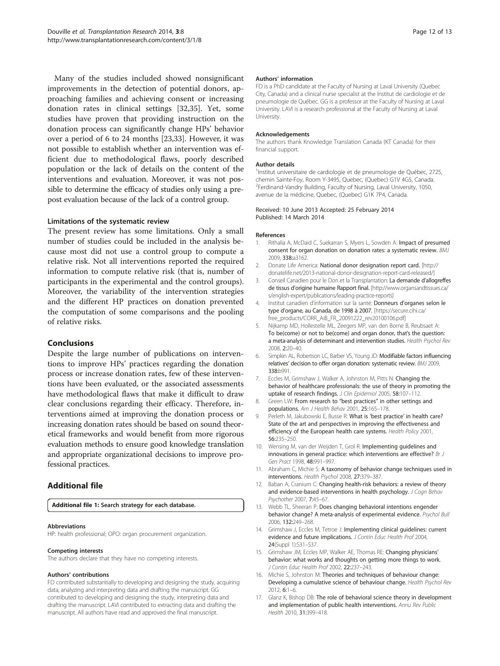<span id="page-11-0"></span>Many of the studies included showed nonsignificant improvements in the detection of potential donors, approaching families and achieving consent or increasing donation rates in clinical settings [[32,35\]](#page-12-0). Yet, some studies have proven that providing instruction on the donation process can significantly change HPs' behavior over a period of 6 to 24 months [\[23,33\]](#page-12-0). However, it was not possible to establish whether an intervention was efficient due to methodological flaws, poorly described population or the lack of details on the content of the interventions and evaluation. Moreover, it was not possible to determine the efficacy of studies only using a prepost evaluation because of the lack of a control group.

#### Limitations of the systematic review

The present review has some limitations. Only a small number of studies could be included in the analysis because most did not use a control group to compute a relative risk. Not all interventions reported the required information to compute relative risk (that is, number of participants in the experimental and the control groups). Moreover, the variability of the intervention strategies and the different HP practices on donation prevented the computation of some comparisons and the pooling of relative risks.

#### Conclusions

Despite the large number of publications on interventions to improve HPs' practices regarding the donation process or increase donation rates, few of these interventions have been evaluated, or the associated assessments have methodological flaws that make it difficult to draw clear conclusions regarding their efficacy. Therefore, interventions aimed at improving the donation process or increasing donation rates should be based on sound theoretical frameworks and would benefit from more rigorous evaluation methods to ensure good knowledge translation and appropriate organizational decisions to improve professional practices.

# Additional file

#### [Additional file 1:](http://www.biomedcentral.com/content/supplementary/2047-1440-3-8-S1.pdf) Search strategy for each database.

#### Abbreviations

HP: health professional; OPO: organ procurement organization.

#### Competing interests

The authors declare that they have no competing interests.

#### Authors' contributions

FD contributed substantially to developing and designing the study, acquiring data, analyzing and interpreting data and drafting the manuscript. GG contributed to developing and designing the study, interpreting data and drafting the manuscript. LAVI contributed to extracting data and drafting the manuscript. All authors have read and approved the final manuscript.

#### Authors' information

FD is a PhD candidate at the Faculty of Nursing at Laval University (Quebec City, Canada) and a clinical nurse specialist at the Institut de cardiologie et de pneumologie de Québec. GG is a professor at the Faculty of Nursing at Laval University. LAVI is a research professional at the Faculty of Nursing at Laval University.

#### Acknowledgements

The authors thank Knowledge Translation Canada (KT Canada) for their financial support.

#### Author details

<sup>1</sup>Institut universitaire de cardiologie et de pneumologie de Québec, 2725, chemin Sainte-Foy, Room Y-3495, Quebec, (Quebec) G1V 4G5, Canada. 2 Ferdinand-Vandry Building, Faculty of Nursing, Laval University, 1050, avenue de la médicine, Quebec, (Quebec) G1K 7P4, Canada.

#### Received: 10 June 2013 Accepted: 25 February 2014 Published: 14 March 2014

#### References

- 1. Rithalia A, McDaid C, Suekarran S, Myers L, Sowden A: Impact of presumed consent for organ donation on donation rates: a systematic review. BMJ 2009, 338:a3162.
- 2. Donate Life America: National donor designation report card. [\[http://](http://donatelife.net/2013-national-donor-designation-report-card-released/) [donatelife.net/2013-national-donor-designation-report-card-released/](http://donatelife.net/2013-national-donor-designation-report-card-released/)]
- 3. Conseil Canadien pour le Don et la Transplantation: La demande d'allogreffes de tissus d'origine humaine Rapport final. [[http://www.organsandtissues.ca/](http://www.organsandtissues.ca/s/english-expert/publications/leading-practice-reports) [s/english-expert/publications/leading-practice-reports](http://www.organsandtissues.ca/s/english-expert/publications/leading-practice-reports)]
- 4. Institut canadien d'information sur la santé: Donneurs d'organes selon le type d'organe, au Canada, de 1998 à 2007. [[https://secure.cihi.ca/](https://secure.cihi.ca/free_products/CORR_AiB_FR_20091222_rev20100106.pdf) [free\\_products/CORR\\_AiB\\_FR\\_20091222\\_rev20100106.pdf\]](https://secure.cihi.ca/free_products/CORR_AiB_FR_20091222_rev20100106.pdf)
- 5. Nijkamp MD, Hollestelle ML, Zeegers MP, van den Borne B, Reubsaet A: To be(come) or not to be(come) and organ donor, that's the question: a meta-analysis of determinant and intervention studies. Health Psychol Rev 2008, 2:20–40.
- 6. Simpkin AL, Robertson LC, Barber VS, Young JD: Modifiable factors influencing relatives' decision to offer organ donation: systematic review. BMJ 2009, 338:b991.
- 7. Eccles M, Grimshaw J, Walker A, Johnston M, Pitts N: Changing the behavior of healthcare professionals: the use of theory in promoting the uptake of research findings. J Clin Epidemiol 2005, 58:107-112.
- 8. Green LW: From research to "best practices" in other settings and populations. Am J Health Behav 2001, 25:165–178.
- 9. Perleth M, Jakubowski E, Busse R: What is 'best practice' in health care? State of the art and perspectives in improving the effectiveness and efficiency of the European health care systems. Health Policy 2001, 56:235–250.
- 10. Wensing M, van der Weijden T, Grol R: Implementing guidelines and innovations in general practice: which interventions are effective? Br J Gen Pract 1998, 48:991–997.
- 11. Abraham C, Michie S: A taxonomy of behavior change techniques used in interventions. Health Psychol 2008, 27:379–387.
- 12. Baban A, Cranium C: Changing health-risk behaviors: a review of theory and evidence-based interventions in health psychology. J Cogn Behav Psychother 2007, 7:45–67.
- 13. Webb TL, Sheeran P: Does changing behavioral intentions engender behavior change? A meta-analysis of experimental evidence. Psychol Bull 2006, 132:249–268.
- 14. Grimshaw J, Eccles M, Tetroe J: Implementing clinical guidelines: current evidence and future implications. J Contin Educ Health Prof 2004, 24(Suppl 1):S31–S37.
- 15. Grimshaw JM, Eccles MP, Walker AE, Thomas RE: Changing physicians' behavior: what works and thoughts on getting more things to work. J Contin Educ Health Prof 2002, 22:237–243.
- 16. Michie S, Johnston M: Theories and techniques of behaviour change: Developing a cumulative science of behaviour change. Health Psychol Rev 2012, 6:1–6.
- 17. Glanz K, Bishop DB: The role of behavioral science theory in development and implementation of public health interventions. Annu Rev Public Health 2010, 31:399–418.